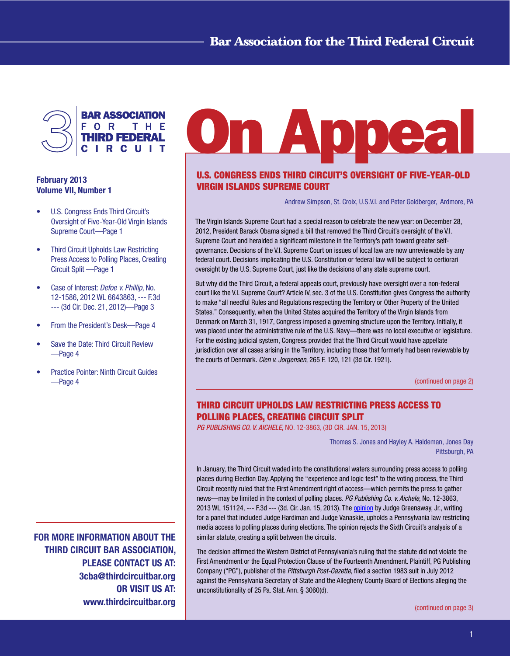

# February 2013 Volume VII, Number 1

- U.S. Congress Ends Third Circuit's Oversight of Five-Year-Old Virgin Islands Supreme Court—Page 1
- Third Circuit Upholds Law Restricting Press Access to Polling Places, Creating Circuit Split —Page 1
- Case of Interest: *Defoe v. Phillip*, No. 12-1586, 2012 WL 6643863, --- F.3d --- (3d Cir. Dec. 21, 2012)—Page 3
- From the President's Desk—Page 4
- Save the Date: Third Circuit Review —Page 4
- **Practice Pointer: Ninth Circuit Guides** —Page 4

FOR MORE INFORMATION ABOUT THE THIRD CIRCUIT BAR ASSOCIATION, PLEASE CONTACT US AT: 3cba@thirdcircuitbar.org OR VISIT US AT: www.thirdcircuitbar.org

# n Abbea

# U.S. CONGRESS ENDS THIRD CIRCUIT'S OVERSIGHT OF FIVE-YEAR-OLD VIRGIN ISLANDS SUPREME COURT

Andrew Simpson, St. Croix, U.S.V.I. and Peter Goldberger, Ardmore, PA

The Virgin Islands Supreme Court had a special reason to celebrate the new year: on December 28, 2012, President Barack Obama signed a bill that removed the Third Circuit's oversight of the V.I. Supreme Court and heralded a significant milestone in the Territory's path toward greater selfgovernance. Decisions of the V.I. Supreme Court on issues of local law are now unreviewable by any federal court. Decisions implicating the U.S. Constitution or federal law will be subject to certiorari oversight by the U.S. Supreme Court, just like the decisions of any state supreme court.

But why did the Third Circuit, a federal appeals court, previously have oversight over a non-federal court like the V.I. Supreme Court? Article IV, sec. 3 of the U.S. Constitution gives Congress the authority to make "all needful Rules and Regulations respecting the Territory or Other Property of the United States." Consequently, when the United States acquired the Territory of the Virgin Islands from Denmark on March 31, 1917, Congress imposed a governing structure upon the Territory. Initially, it was placed under the administrative rule of the U.S. Navy—there was no local executive or legislature. For the existing judicial system, Congress provided that the Third Circuit would have appellate jurisdiction over all cases arising in the Territory, including those that formerly had been reviewable by the courts of Denmark. *Clen v. Jorgensen*, 265 F. 120, 121 (3d Cir. 1921).

[\(continued](#page-1-0) on page 2)

# THIRD CIRCUIT UPHOLDS LAW RESTRICTING PRESS ACCESS TO POLLING PLACES, CREATING CIRCUIT SPLIT

*PG PUBLISHING CO. V. AICHELE,* NO. 12-3863, (3D CIR. JAN. 15, 2013)

Thomas S. Jones and Hayley A. Haldeman, Jones Day Pittsburgh, PA

In January, the Third Circuit waded into the constitutional waters surrounding press access to polling places during Election Day. Applying the "experience and logic test" to the voting process, the Third Circuit recently ruled that the First Amendment right of access—which permits the press to gather news—may be limited in the context of polling places. *PG Publishing Co. v. Aichele*, No. 12-3863, 2013 WL 151124, --- F.3d --- (3d. Cir. Jan. 15, 2013). The **[opinion](http://www.ca3.uscourts.gov/opinarch/123863po.pdf)** by Judge Greenaway, Jr., writing for a panel that included Judge Hardiman and Judge Vanaskie, upholds a Pennsylvania law restricting media access to polling places during elections. The opinion rejects the Sixth Circuit's analysis of a similar statute, creating a split between the circuits.

The decision affirmed the Western District of Pennsylvania's ruling that the statute did not violate the First Amendment or the Equal Protection Clause of the Fourteenth Amendment. Plaintiff, PG Publishing Company ("PG"), publisher of the *Pittsburgh Post-Gazette*, filed a section 1983 suit in July 2012 against the Pennsylvania Secretary of State and the Allegheny County Board of Elections alleging the unconstitutionality of 25 Pa. Stat. Ann. § 3060(d).

[\(continued](#page-2-0) on page 3)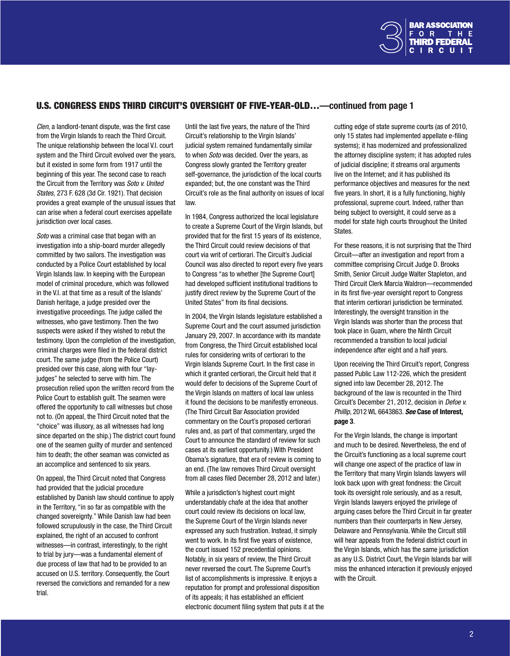

#### <span id="page-1-0"></span>U.S. CONGRESS ENDS THIRD CIRCUIT'S OVERSIGHT OF FIVE-YEAR-OLD…—continued from page 1

*Clen*, a landlord-tenant dispute, was the first case from the Virgin Islands to reach the Third Circuit. The unique relationship between the local V.I. court system and the Third Circuit evolved over the years, but it existed in some form from 1917 until the beginning of this year. The second case to reach the Circuit from the Territory was *Soto v. United States,* 273 F. 628 (3d Cir. 1921). That decision provides a great example of the unusual issues that can arise when a federal court exercises appellate jurisdiction over local cases.

*Soto* was a criminal case that began with an investigation into a ship-board murder allegedly committed by two sailors. The investigation was conducted by a Police Court established by local Virgin Islands law. In keeping with the European model of criminal procedure, which was followed in the V.I. at that time as a result of the Islands' Danish heritage, a judge presided over the investigative proceedings. The judge called the witnesses, who gave testimony. Then the two suspects were asked if they wished to rebut the testimony. Upon the completion of the investigation, criminal charges were filed in the federal district court. The same judge (from the Police Court) presided over this case, along with four "layjudges" he selected to serve with him. The prosecution relied upon the written record from the Police Court to establish guilt. The seamen were offered the opportunity to call witnesses but chose not to. (On appeal, the Third Circuit noted that the "choice" was illusory, as all witnesses had long since departed on the ship.) The district court found one of the seamen guilty of murder and sentenced him to death; the other seaman was convicted as an accomplice and sentenced to six years.

On appeal, the Third Circuit noted that Congress had provided that the judicial procedure established by Danish law should continue to apply in the Territory, "in so far as compatible with the changed sovereignty." While Danish law had been followed scrupulously in the case, the Third Circuit explained, the right of an accused to confront witnesses—in contrast, interestingly, to the right to trial by jury—was a fundamental element of due process of law that had to be provided to an accused on U.S. territory. Consequently, the Court reversed the convictions and remanded for a new trial.

Until the last five years, the nature of the Third Circuit's relationship to the Virgin Islands' judicial system remained fundamentally similar to when *Soto* was decided. Over the years, as Congress slowly granted the Territory greater self-governance, the jurisdiction of the local courts expanded; but, the one constant was the Third Circuit's role as the final authority on issues of local law.

In 1984, Congress authorized the local legislature to create a Supreme Court of the Virgin Islands, but provided that for the first 15 years of its existence, the Third Circuit could review decisions of that court via writ of certiorari. The Circuit's Judicial Council was also directed to report every five years to Congress "as to whether [the Supreme Court] had developed sufficient institutional traditions to justify direct review by the Supreme Court of the United States" from its final decisions.

In 2004, the Virgin Islands legislature established a Supreme Court and the court assumed jurisdiction January 29, 2007. In accordance with its mandate from Congress, the Third Circuit established local rules for considering writs of certiorari to the Virgin Islands Supreme Court. In the first case in which it granted certiorari, the Circuit held that it would defer to decisions of the Supreme Court of the Virgin Islands on matters of local law unless it found the decisions to be manifestly erroneous. (The Third Circuit Bar Association provided commentary on the Court's proposed certiorari rules and, as part of that commentary, urged the Court to announce the standard of review for such cases at its earliest opportunity.) With President Obama's signature, that era of review is coming to an end. (The law removes Third Circuit oversight from all cases filed December 28, 2012 and later.)

While a jurisdiction's highest court might understandably chafe at the idea that another court could review its decisions on local law, the Supreme Court of the Virgin Islands never expressed any such frustration. Instead, it simply went to work. In its first five years of existence, the court issued 152 precedential opinions. Notably, in six years of review, the Third Circuit never reversed the court. The Supreme Court's list of accomplishments is impressive. It enjoys a reputation for prompt and professional disposition of its appeals; it has established an efficient electronic document filing system that puts it at the

cutting edge of state supreme courts (as of 2010, only 15 states had implemented appellate e-filing systems); it has modernized and professionalized the attorney discipline system; it has adopted rules of judicial discipline; it streams oral arguments live on the Internet; and it has published its performance objectives and measures for the next five years. In short, it is a fully functioning, highly professional, supreme court. Indeed, rather than being subject to oversight, it could serve as a model for state high courts throughout the United States.

For these reasons, it is not surprising that the Third Circuit—after an investigation and report from a committee comprising Circuit Judge D. Brooks Smith, Senior Circuit Judge Walter Stapleton, and Third Circuit Clerk Marcia Waldron—recommended in its first five-year oversight report to Congress that interim certiorari jurisdiction be terminated. Interestingly, the oversight transition in the Virgin Islands was shorter than the process that took place in Guam, where the Ninth Circuit recommended a transition to local judicial independence after eight and a half years.

Upon receiving the Third Circuit's report, Congress passed Public Law 112-226, which the president signed into law December 28, 2012. The background of the law is recounted in the Third Circuit's December 21, 2012, decision in *Defoe v. Phillip*, 2012 WL 6643863. *See* Case of Interest, page 3.

For the Virgin Islands, the change is important and much to be desired. Nevertheless, the end of the Circuit's functioning as a local supreme court will change one aspect of the practice of law in the Territory that many Virgin Islands lawyers will look back upon with great fondness: the Circuit took its oversight role seriously, and as a result, Virgin Islands lawyers enjoyed the privilege of arguing cases before the Third Circuit in far greater numbers than their counterparts in New Jersey, Delaware and Pennsylvania. While the Circuit still will hear appeals from the federal district court in the Virgin Islands, which has the same jurisdiction as any U.S. District Court, the Virgin Islands bar will miss the enhanced interaction it previously enjoyed with the Circuit.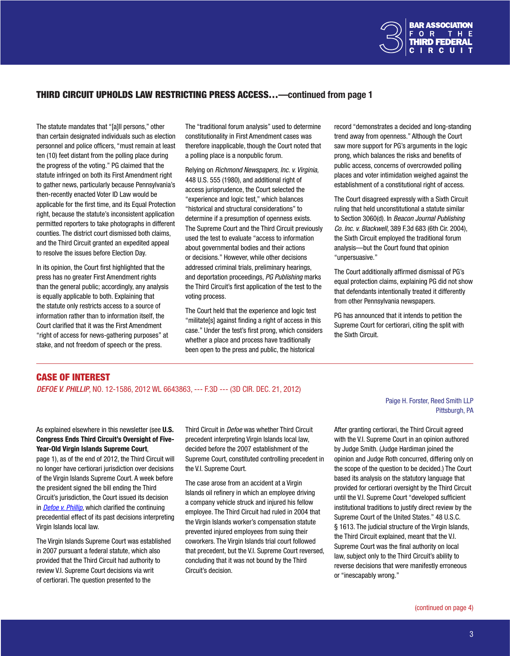

### <span id="page-2-0"></span>THIRD CIRCUIT UPHOLDS LAW RESTRICTING PRESS ACCESS…—continued from page 1

The statute mandates that "[a]ll persons," other than certain designated individuals such as election personnel and police officers, "must remain at least ten (10) feet distant from the polling place during the progress of the voting." PG claimed that the statute infringed on both its First Amendment right to gather news, particularly because Pennsylvania's then-recently enacted Voter ID Law would be applicable for the first time, and its Equal Protection right, because the statute's inconsistent application permitted reporters to take photographs in different counties. The district court dismissed both claims, and the Third Circuit granted an expedited appeal to resolve the issues before Election Day.

In its opinion, the Court first highlighted that the press has no greater First Amendment rights than the general public; accordingly, any analysis is equally applicable to both. Explaining that the statute only restricts access to a source of information rather than to information itself, the Court clarified that it was the First Amendment "right of access for news-gathering purposes" at stake, and not freedom of speech or the press.

The "traditional forum analysis" used to determine constitutionality in First Amendment cases was therefore inapplicable, though the Court noted that a polling place is a nonpublic forum.

Relying on *Richmond Newspapers, Inc. v. Virginia*, 448 U.S. 555 (1980), and additional right of access jurisprudence, the Court selected the "experience and logic test," which balances "historical and structural considerations" to determine if a presumption of openness exists. The Supreme Court and the Third Circuit previously used the test to evaluate "access to information about governmental bodies and their actions or decisions." However, while other decisions addressed criminal trials, preliminary hearings, and deportation proceedings, *PG Publishing* marks the Third Circuit's first application of the test to the voting process.

The Court held that the experience and logic test "militate[s] against finding a right of access in this case." Under the test's first prong, which considers whether a place and process have traditionally been open to the press and public, the historical

record "demonstrates a decided and long-standing trend away from openness." Although the Court saw more support for PG's arguments in the logic prong, which balances the risks and benefits of public access, concerns of overcrowded polling places and voter intimidation weighed against the establishment of a constitutional right of access.

The Court disagreed expressly with a Sixth Circuit ruling that held unconstitutional a statute similar to Section 3060(d). In *Beacon Journal Publishing Co. Inc. v. Blackwell*, 389 F.3d 683 (6th Cir. 2004), the Sixth Circuit employed the traditional forum analysis—but the Court found that opinion "unpersuasive."

The Court additionally affirmed dismissal of PG's equal protection claims, explaining PG did not show that defendants intentionally treated it differently from other Pennsylvania newspapers.

PG has announced that it intends to petition the Supreme Court for certiorari, citing the split with the Sixth Circuit.

# CASE OF INTEREST

*DEFOE V. PHILLIP*, NO. 12-1586, 2012 WL 6643863, --- F.3D --- (3D CIR. DEC. 21, 2012)

#### As explained elsewhere in this newsletter (see U.S. Congress Ends Third Circuit's Oversight of Five-Year-Old Virgin Islands Supreme Court,

page 1), as of the end of 2012, the Third Circuit will no longer have certiorari jurisdiction over decisions of the Virgin Islands Supreme Court. A week before the president signed the bill ending the Third Circuit's jurisdiction, the Court issued its decision in *[Defoe v. Phillip](http://www.ca3.uscourts.gov/opinarch/121586p.pdf)*, which clarified the continuing precedential effect of its past decisions interpreting Virgin Islands local law.

The Virgin Islands Supreme Court was established in 2007 pursuant a federal statute, which also provided that the Third Circuit had authority to review V.I. Supreme Court decisions via writ of certiorari. The question presented to the

Third Circuit in *Defoe* was whether Third Circuit precedent interpreting Virgin Islands local law, decided before the 2007 establishment of the Supreme Court, constituted controlling precedent in the V.I. Supreme Court.

The case arose from an accident at a Virgin Islands oil refinery in which an employee driving a company vehicle struck and injured his fellow employee. The Third Circuit had ruled in 2004 that the Virgin Islands worker's compensation statute prevented injured employees from suing their coworkers. The Virgin Islands trial court followed that precedent, but the V.I. Supreme Court reversed, concluding that it was not bound by the Third Circuit's decision.

#### Paige H. Forster, Reed Smith LLP Pittsburgh, PA

After granting certiorari, the Third Circuit agreed with the V.I. Supreme Court in an opinion authored by Judge Smith. (Judge Hardiman joined the opinion and Judge Roth concurred, differing only on the scope of the question to be decided.) The Court based its analysis on the statutory language that provided for certiorari oversight by the Third Circuit until the V.I. Supreme Court "developed sufficient institutional traditions to justify direct review by the Supreme Court of the United States." 48 U.S.C. § 1613. The judicial structure of the Virgin Islands, the Third Circuit explained, meant that the V.I. Supreme Court was the final authority on local law, subject only to the Third Circuit's ability to reverse decisions that were manifestly erroneous or "inescapably wrong."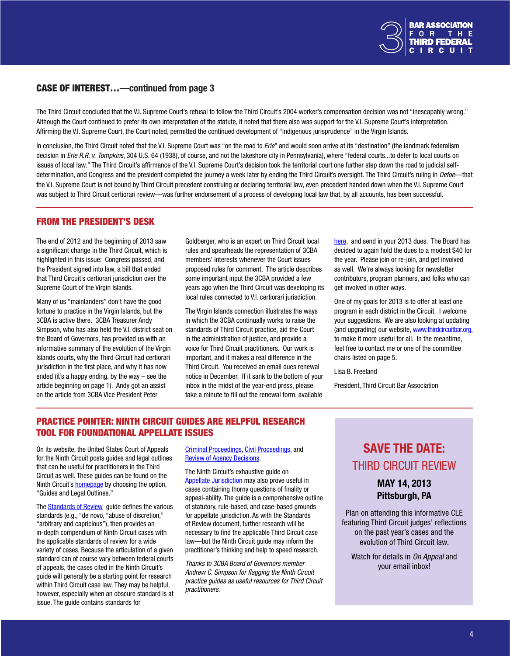

#### <span id="page-3-0"></span>CASE OF INTEREST…—continued from page 3

The Third Circuit concluded that the V.I. Supreme Court's refusal to follow the Third Circuit's 2004 worker's compensation decision was not "inescapably wrong." Although the Court continued to prefer its own interpretation of the statute, it noted that there also was support for the V.I. Supreme Court's interpretation. Affirming the V.I. Supreme Court, the Court noted, permitted the continued development of "indigenous jurisprudence" in the Virgin Islands.

In conclusion, the Third Circuit noted that the V.I. Supreme Court was "on the road to *Erie*" and would soon arrive at its "destination" (the landmark federalism decision in *Erie R.R. v. Tompkins*, 304 U.S. 64 (1938), of course, and not the lakeshore city in Pennsylvania), where "federal courts...to defer to local courts on issues of local law." The Third Circuit's affirmance of the V.I. Supreme Court's decision took the territorial court one further step down the road to judicial selfdetermination, and Congress and the president completed the journey a week later by ending the Third Circuit's oversight. The Third Circuit's ruling in *Defoe*—that the V.I. Supreme Court is not bound by Third Circuit precedent construing or declaring territorial law, even precedent handed down when the V.I. Supreme Court was subject to Third Circuit certiorari review—was further endorsement of a process of developing local law that, by all accounts, has been successful.

### FROM THE PRESIDENT'S DESK

The end of 2012 and the beginning of 2013 saw a significant change in the Third Circuit, which is highlighted in this issue: Congress passed, and the President signed into law, a bill that ended that Third Circuit's certiorari jurisdiction over the Supreme Court of the Virgin Islands.

Many of us "mainlanders" don't have the good fortune to practice in the Virgin Islands, but the 3CBA is active there. 3CBA Treasurer Andy Simpson, who has also held the V.I. district seat on the Board of Governors, has provided us with an informative summary of the evolution of the Virgin Islands courts, why the Third Circuit had certiorari jurisdiction in the first place, and why it has now ended (it's a happy ending, by the way – see the article beginning on page 1). Andy got an assist on the article from 3CBA Vice President Peter

Goldberger, who is an expert on Third Circuit local rules and spearheads the representation of 3CBA members' interests whenever the Court issues proposed rules for comment. The article describes some important input the 3CBA provided a few years ago when the Third Circuit was developing its local rules connected to V.I. certiorari jurisdiction.

The Virgin Islands connection illustrates the ways in which the 3CBA continually works to raise the standards of Third Circuit practice, aid the Court in the administration of justice, and provide a voice for Third Circuit practitioners. Our work is important, and it makes a real difference in the Third Circuit. You received an email dues renewal notice in December. If it sank to the bottom of your inbox in the midst of the year-end press, please take a minute to fill out the renewal form, available

[here,](http://www.thirdcircuitbar.org/documents/ThirdCircuitBarApplication.pdf) and send in your 2013 dues. The Board has decided to again hold the dues to a modest \$40 for the year. Please join or re-join, and get involved as well. We're always looking for newsletter contributors, program planners, and folks who can get involved in other ways.

One of my goals for 2013 is to offer at least one program in each district in the Circuit. I welcome your suggestions. We are also looking at updating (and upgrading) our website, <www.thirdcircuitbar.org>, to make it more useful for all. In the meantime, feel free to contact me or one of the committee chairs listed on page 5.

Lisa B. Freeland

President, Third Circuit Bar Association

# PRACTICE POINTER: NINTH CIRCUIT GUIDES ARE HELPFUL RESEARCH TOOL FOR FOUNDATIONAL APPELLATE ISSUES

On its website, the United States Court of Appeals for the Ninth Circuit posts guides and legal outlines that can be useful for practitioners in the Third Circuit as well. These guides can be found on the Ninth Circuit's [homepage](http://www.ca9.uscourts.gov/) by choosing the option, "Guides and Legal Outlines."

The **[Standards](http://www.ca9.uscourts.gov/content/view.php?pk_id=0000000368) of Review** guide defines the various standards (e.g., "de novo, "abuse of discretion," "arbitrary and capricious"), then provides an in-depth compendium of Ninth Circuit cases with the applicable standards of review for a wide variety of cases. Because the articulation of a given standard can of course vary between federal courts of appeals, the cases cited in the Ninth Circuit's guide will generally be a starting point for research within Third Circuit case law. They may be helpful, however, especially when an obscure standard is at issue. The guide contains standards for

Criminal [Proceedings,](http://www.ca9.uscourts.gov/datastore/uploads/guides/stand_of_review/II_Crim_Proc.pdf) Civil [Proceedings,](http://www.ca9.uscourts.gov/datastore/uploads/guides/stand_of_review/III_Civil_Proc.pdf) and Review of Agency [Decisions](http://www.ca9.uscourts.gov/datastore/uploads/guides/stand_of_review/IV_Review_AD.pdf).

The Ninth Circuit's exhaustive guide on Appellate [Jurisdiction](http://www.ca9.uscourts.gov/datastore/uploads/guides/appellate_jurisdiction_outline/Appellate%20Jurisdiction%20Outline%2012.09%20-%20no%20links.pdf) may also prove useful in cases containing thorny questions of finality or appeal-ability. The guide is a comprehensive outline of statutory, rule-based, and case-based grounds for appellate jurisdiction. As with the Standards of Review document, further research will be necessary to find the applicable Third Circuit case law—but the Ninth Circuit guide may inform the practitioner's thinking and help to speed research.

*Thanks to 3CBA Board of Governors member Andrew C. Simpson for flagging the Ninth Circuit practice guides as useful resources for Third Circuit practitioners.*

# SAVE THE DATE: THIRD CIRCUIT REVIEW

MAY 14, 2013 Pittsburgh, PA

Plan on attending this informative CLE featuring Third Circuit judges' reflections on the past year's cases and the evolution of Third Circuit law.

Watch for details in *On Appeal* and your email inbox!